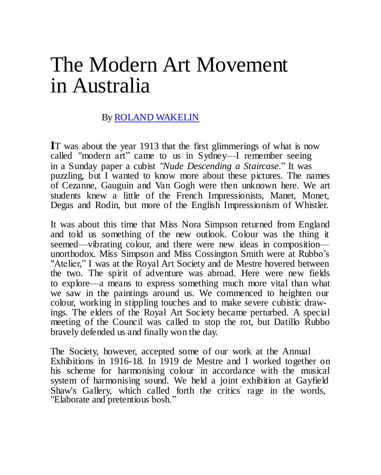## The Modern Art Movement in Australia

## By ROLAND [WAKELIN](https://www.artgallery.nsw.gov.au/collection/artists/wakelin-roland/)

**I**T was about the year 1913 that the first glimmerings of what is now called "modern art" came to us in Sydney—I remember seeing in a Sunday paper a cubist "*Nude Descending a Staircase*." It was puzzling, but I wanted to know more about these pictures. The names of Cezanne, Gauguin and Van Gogh were then unknown here. We art students knew a little of the French Impressionists, Manet, Monet, Degas and Rodin, but more of the English Impressionism of Whistler.

It was about this time that Miss Nora Simpson returned from England and told us something of the new outlook. Colour was the thing it seemed—vibrating colour, and there were new ideas in composition unorthodox. Miss Simpson and Miss Cossington Smith were at Rubbo's "Atelier," I was at the Royal Art Society and de Mestre hovered between the two. The spirit of adventure was abroad. Here were new fields to explore—a means to express something much more vital than what we saw in the paintings around us. We commenced to heighten our colour, working in stippling touches and to make severe cubistic drawings. The elders of the Royal Art Society became perturbed. A special meeting of the Council was called to stop the rot, but Datillo Rubbo bravely defended us and finally won the day.

The Society, however, accepted some of our work at the Annual Exhibitions in 1916-18. In 1919 de Mestre and I worked together on his scheme for harmonising colour in accordance with the musical system of harmonising sound. We held a joint exhibition at Gayfield Shaw's Gallery, which called forth the critics' rage in the words, "Elaborate and pretentious bosh."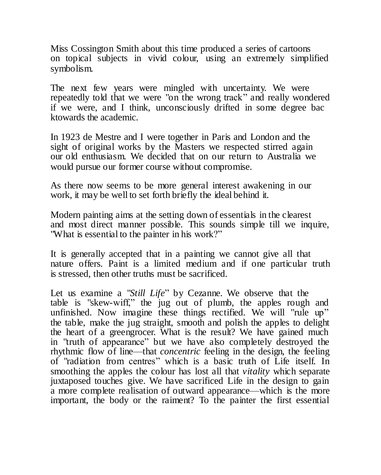Miss Cossington Smith about this time produced a series of cartoons on topical subjects in vivid colour, using an extremely simplified symbolism.

The next few years were mingled with uncertainty. We were repeatedly told that we were "on the wrong track" and really wondered if we were, and I think, unconsciously drifted in some degree bac ktowards the academic.

In 1923 de Mestre and I were together in Paris and London and the sight of original works by the Masters we respected stirred again our old enthusiasm. We decided that on our return to Australia we would pursue our former course without compromise.

As there now seems to be more general interest awakening in our work, it may be well to set forth briefly the ideal behind it.

Modern painting aims at the setting down of essentials in the clearest and most direct manner possible. This sounds simple till we inquire, "What is essential to the painter in his work?"

It is generally accepted that in a painting we cannot give all that nature offers. Paint is a limited medium and if one particular truth is stressed, then other truths must be sacrificed.

Let us examine a "*Still Life*" by Cezanne. We observe that the table is "skew-wiff," the jug out of plumb, the apples rough and unfinished. Now imagine these things rectified. We will "rule up" the table, make the jug straight, smooth and polish the apples to delight the heart of a greengrocer. What is the result? We have gained much in "truth of appearance" but we have also completely destroyed the rhythmic flow of line—that *concentric* feeling in the design, the feeling of "radiation from centres" which is a basic truth of Life itself. In smoothing the apples the colour has lost all that *vitality* which separate juxtaposed touches give. We have sacrificed Life in the design to gain a more complete realisation of outward appearance—which is the more important, the body or the raiment? To the painter the first essential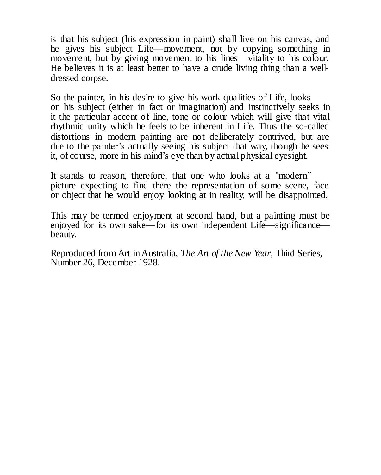is that his subject (his expression in paint) shall live on his canvas, and he gives his subject Life—movement, not by copying something in movement, but by giving movement to his lines—vitality to his colour. He believes it is at least better to have a crude living thing than a welldressed corpse.

So the painter, in his desire to give his work qualities of Life, looks on his subject (either in fact or imagination) and instinctively seeks in it the particular accent of line, tone or colour which will give that vital rhythmic unity which he feels to be inherent in Life. Thus the so-called distortions in modern painting are not deliberately contrived, but are due to the painter's actually seeing his subject that way, though he sees it, of course, more in his mind's eye than by actual physical eyesight.

It stands to reason, therefore, that one who looks at a "modern" picture expecting to find there the representation of some scene, face or object that he would enjoy looking at in reality, will be disappointed.

This may be termed enjoyment at second hand, but a painting must be enjoyed for its own sake—for its own independent Life—significance beauty.

Reproduced from Art in Australia, *The Art of the New Year*, Third Series, Number 26, December 1928.